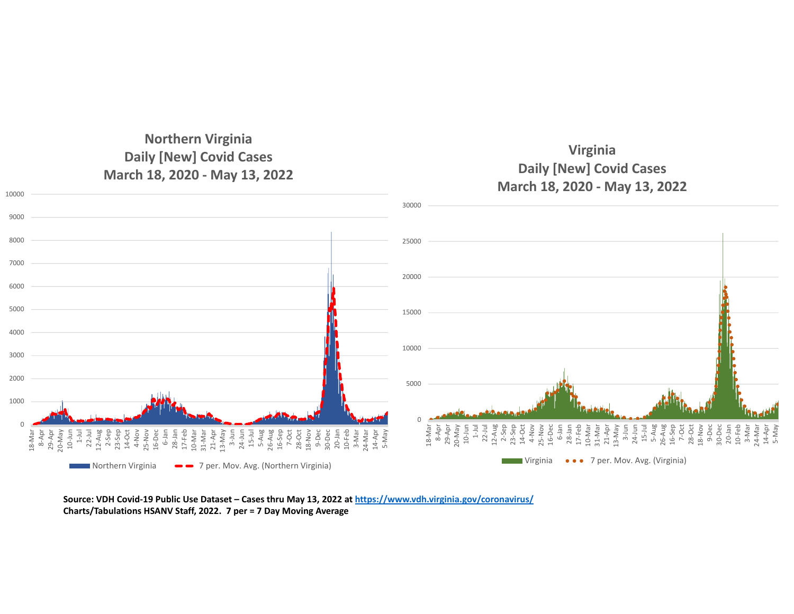## **Northern Virginia Daily [New] Covid Cases March 18, 2020 ‐ May 13, 2022**





Source: VDH Covid-19 Public Use Dataset – Cases thru May 13, 2022 at <u>https://www.vdh.virginia.gov/coronavirus/</u> **Charts/Tabulations HSANV Staff, 2022. 7 per <sup>=</sup> 7 Day Moving Average**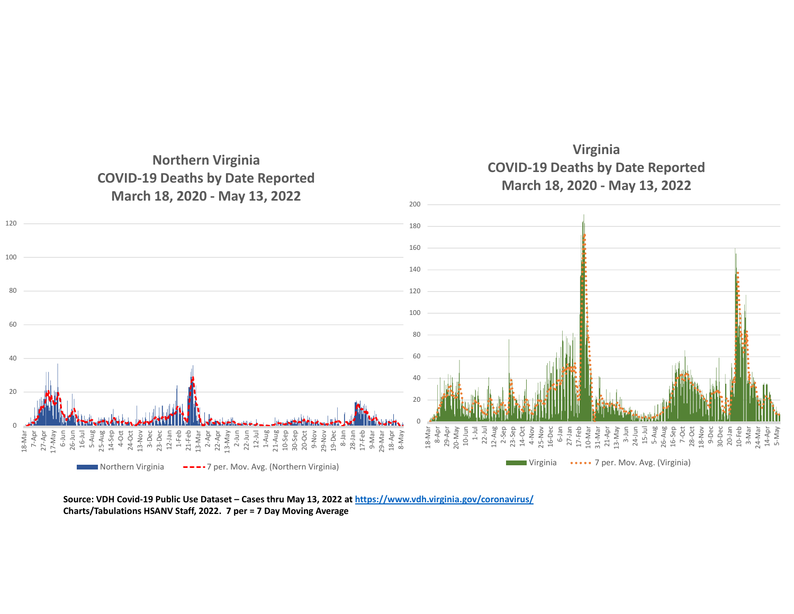

Source: VDH Covid-19 Public Use Dataset – Cases thru May 13, 2022 at <u>https://www.vdh.virginia.gov/coronavirus/</u> **Charts/Tabulations HSANV Staff, 2022. 7 per <sup>=</sup> 7 Day Moving Average**